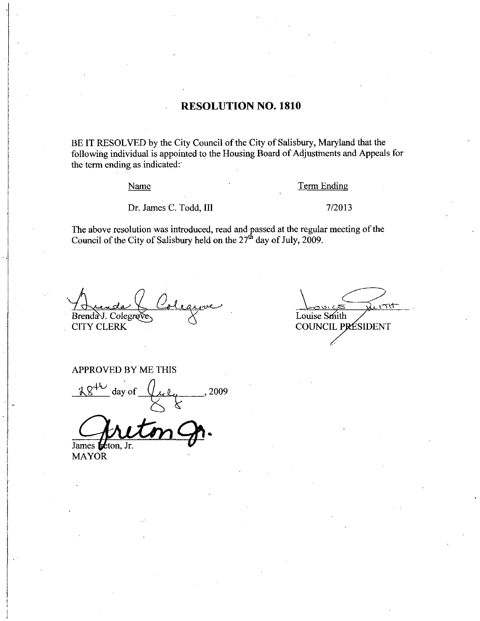### RESOLUTION NO. 1810

BE IT RESOLVED by the City Council of the City of Salisbury, Maryland that the following individual is appointed to the Housing Board of Adjustments and Appeals for the term ending as indicated:

Name Term Ending

Name<br>Dr. James C. Todd, III 7/2013

The above resolution was introduced, read and passed at the regular meeting of the Council of the City of Salisbury held on the 27<sup>th</sup> day of July, 2009.

Brenda J. Colegrave  $\overline{\smash{\big)}\,}$  Louise Smith COUNCIL PRESIDENT **CITY CLERK** 

tot

#### APPROVED BY ME THIS

APPROVED BY ME THIS<br>  $\frac{i8^{46}}{8000}$  day of  $\frac{2009}{8000}$ , 2009

James leton, Jr.

MAYOR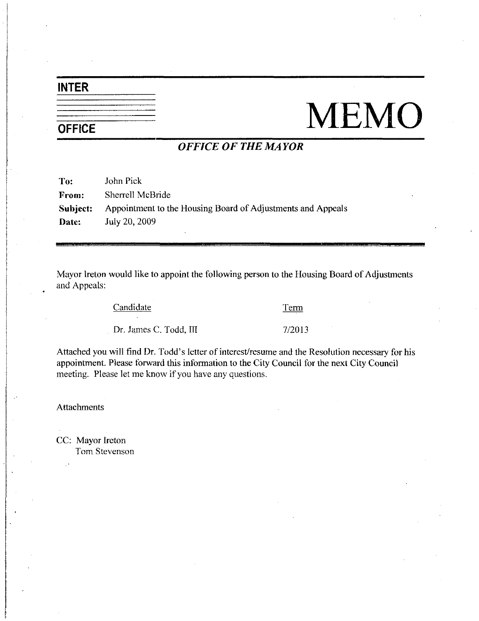# INTER

# NEMO

# OFFICE OF THE MAYOR

| To:      | John Pick                                                   |
|----------|-------------------------------------------------------------|
| From:    | Sherrell McBride                                            |
| Subject: | Appointment to the Housing Board of Adjustments and Appeals |
| Date:    | July 20, 2009                                               |

Mayor Ireton would like to appoint the following person to the Housing Board of Adjustments and Appeals

Candidate Tenn

Example 12 Candidate<br>Dr. James C. Todd, III 7/2013

Dr. James C. Todd, III 7/2013<br>Attached you will find Dr. Todd's letter of interest/resume and the Resolution necessary for his appointment. Please forward this information to the City Council for the next City Council meeting. Please let me know if you have any questions.

Attachments

CC: Mayor Ireton Tom Stevenson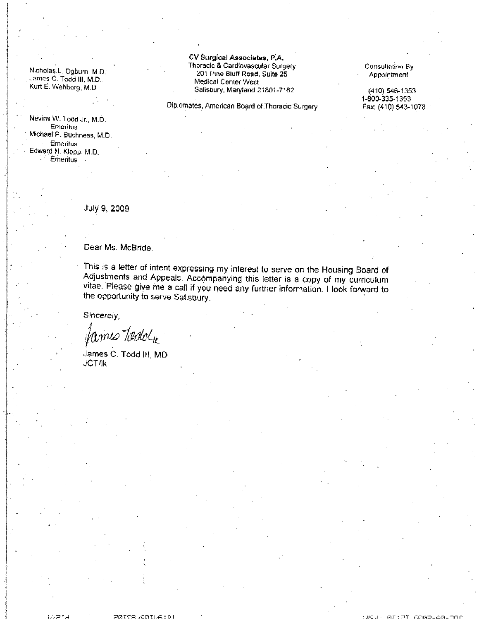Nicholas:L. Ogbum, M:D. James C. Todd III, M.D. Kurt E. Wehbarg, M.D.

Nevins W. Todd Jr., M.D. Emeritus Michael P. Buchness, M.D. Emeritus Edward H. Klopp, M.D. Emeritus

CV Surgical Associates, P.A. Thoracic & Cardiovascular Surgery 201 Pine Bluff Road, Suite 25 Medical Center West Salisbury, Maryland 21801-7162

Diplomates, Amorican Board of Thoracic Surgery

Consultation By **Appointment** 

Consultation By<br>Appointment<br>(410) 546-1353<br>1-800-335-1353<br>Fax: (410) 543-1078 (410) 546-1353 1-800-335-1353<br>Fax: (410) 543-1078 Consultation By<br>Appointment<br>(410) 546-1353<br>1-800-335-1353<br>Fax: (410) 543-1078

July 9 2009

Dear Ms McBride

This is <sup>a</sup> letter of intent expressing my interest to serve on the Housing Board of Adjustments and Appeals Accompanying this letter is <sup>a</sup> copy of my curriculum This is a letter of intent expressing my interest to serve on the Housing Board of<br>Adjustments and Appeals. Accompanying this letter is a copy of my curriculum<br>vitae. Please give me a call if you need any further informati vitae. Please give me a call if you need any further information. I look forward to the opportunity to serve Salisbury.

Sincerely f

James C. Todd III, MD JCTIIk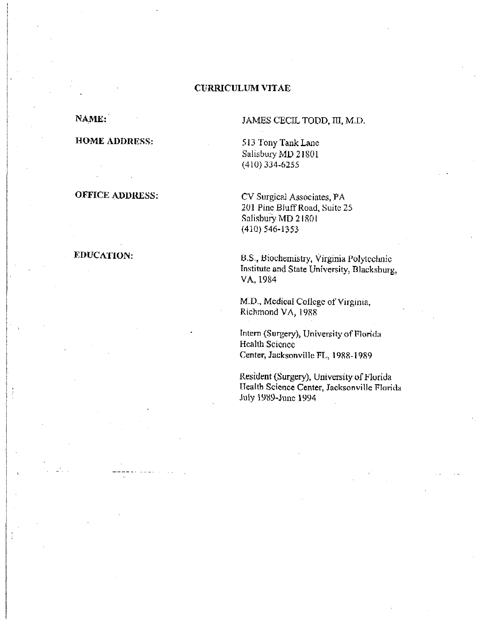#### **CURRICULUM VITAE**

NAME:

#### **HOME ADDRESS:**

# **OFFICE ADDRESS:**

#### EDUCATION:

÷

JAMES CECIL TODD, III, M.D.

513 Tony Tank Lane Salisbury MD 21801  $(410)$  334-6255

CV Surgical Associates, PA 201 Pine Bluff Road, Suite 25 Salisbury MD 21801  $(410)$  546-1353

B.S., Biochemistry, Virginia Polytechnic Institute and State University, Blacksburg, VA, 1984

M.D., Medical College of Virginia, Richmond VA, 1988

Intern (Surgery), University of Florida Health Science Center, Jacksonville FL, 1988-1989

Resident (Surgery), University of Florida Health Science Center, Jacksonville Florida July 1989-June 1994